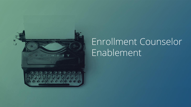

## Enrollment Counselor Enablement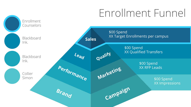# Enrollment Funnel

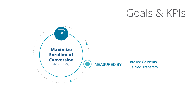## Goals & KPIs

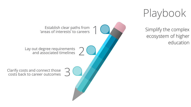Playbook

ecosystem of higher education

Clarify costs and connect those  $\overline{3}$ Lay out degree requirements 2 Establish clear paths from  $\bigcap_{\text{area of interest's' to careers}} \bigcap_{\text{area of interest}} \bigcap_{\text{area of the original price}} \bigcap_{\text{area of the original price}} \bigcap_{\text{area of the original price}} \bigcap_{\text{area of the original price}} \bigcap_{\text{area of the original price}} \bigcap_{\text{area of the original price}} \bigcap_{\text{area of the original price}} \bigcap_{\text{area of the original price}} \bigcap_{\text{area of the original price}} \bigcap_{\text{area of the original price}} \bigcap_{\text{area of the original price}} \bigcap_{\text{area of the original price}} \bigcap_{\text{area of the original price$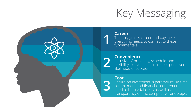

#### **Career**

**1**

**3**

The holy grail is career and paycheck. Everything needs to connect to these fundamentals.

### **Convenience**

**2** Inclusive of proximity, schedule, and flexibility, convenience increases perceived likelihood of success.

### **Cost**

Return on investment is paramount, so time commitment and financial requirements need to be crystal clear; as well as transparency on the competitive landscape.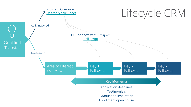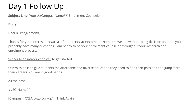## Day 1 Follow Up

**Subject Line: Your ## Campus Name## Enrollment Counselor** 

**Body:**

Dear #First\_Name##,

Thanks for your interest in ##area\_of interest## at ##Campus\_Name##. We know this is a big decision and that you probably have many questions. I am happy to be your enrollment counselor throughout your research and enrolment process.

Schedule an introduction call to get started

Our mission is to give students the affordable and diverse education they need to find their passions and jump start their careers. You are in good hands.

All the best,

##EC\_Name##

[Campus | CCLA Logo Lockup] | Think Again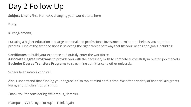## Day 2 Follow Up

**Subject Line:** #First Name##, changing your world starts here

**Body:**

#First\_Name##,

Pursuing a higher education is a large personal and professional investment. I'm here to help as you start the process. One of the first decisions is selecting the right career pathway that fits your needs and goals including:

**Certificates** to build your expertise and quickly enter the workforce. **Associate Degree Programs** to provide you with the necessary skills to compete successfully in related job markets. **Bachelor Degree Transfers Programs** to streamline admittance to other university.

### Schedule an introduction call

Also, I understand that funding your degree is also top of mind at this time. We offer a variety of financial aid grants, loans, and scholarships offerings.

Thank you for considering ##Campus\_Name##.

[Campus | CCLA Logo Lockup] | Think Again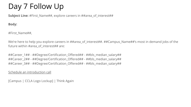## Day 7 Follow Up

**Subject Line:** #First Name##, explore careers in ##area\_of\_interest##

**Body:**

#First\_Name##,

We're here to help you explore careers in ##area\_of\_interest##. ##Campus\_Name##'s most in demand jobs of the future within #area\_of\_interest## are:

##Career\_1## - ##Degree/Certification\_Offered## - ##bls\_median\_salary## ##Career\_2## - ##Degree/Certification\_Offered## - ##bls\_median\_salary## ##Career\_3## - ##Degree/Certification\_Offered## - ##bls\_median\_salary##

Schedule an introduction call

[Campus | CCLA Logo Lockup] | Think Again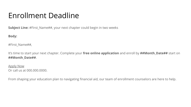### Enrollment Deadline

**Subject Line:** #First Name##, your next chapter could begin in two weeks

**Body:**

#First\_Name##,

It's time to start your next chapter. Complete your **free online application** and enroll by **##Month\_Date##** start on **##Month\_Date##**.

Apply Now Or call us at 000.000.0000.

From shaping your education plan to navigating financial aid, our team of enrollment counselors are here to help.